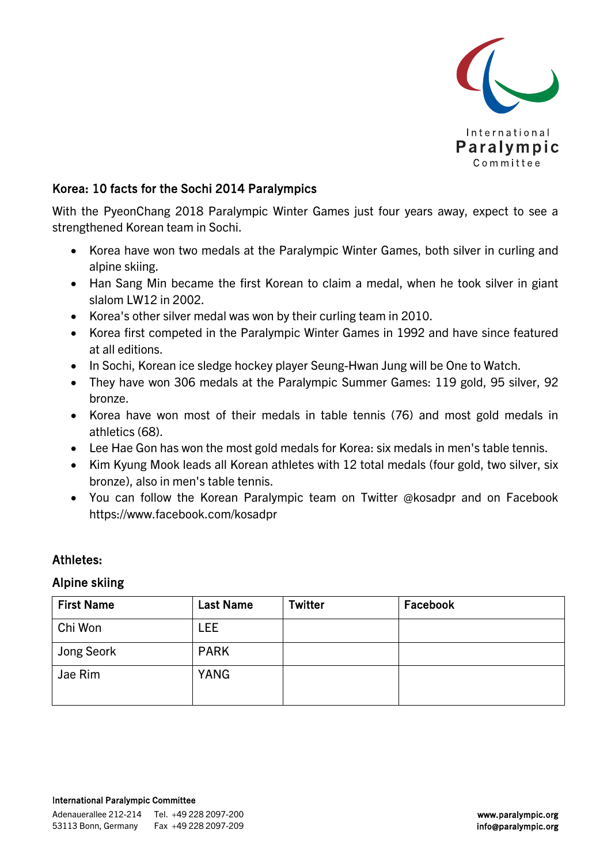

### Korea: 10 facts for the Sochi 2014 Paralympics

With the PyeonChang 2018 Paralympic Winter Games just four years away, expect to see a strengthened Korean team in Sochi.

- Korea have won two medals at the Paralympic Winter Games, both silver in curling and alpine skiing.
- Han Sang Min became the first Korean to claim a medal, when he took silver in giant slalom LW12 in 2002.
- Korea's other silver medal was won by their curling team in 2010.
- Korea first competed in the Paralympic Winter Games in 1992 and have since featured at all editions.
- In Sochi, Korean ice sledge hockey player Seung-Hwan Jung will be One to Watch.
- They have won 306 medals at the Paralympic Summer Games: 119 gold, 95 silver, 92 bronze.
- Korea have won most of their medals in table tennis (76) and most gold medals in athletics (68).
- Lee Hae Gon has won the most gold medals for Korea: six medals in men's table tennis.
- Kim Kyung Mook leads all Korean athletes with 12 total medals (four gold, two silver, six bronze), also in men's table tennis.
- You can follow the Korean Paralympic team on Twitter @kosadpr and on Facebook https://www.facebook.com/kosadpr

### Athletes:

#### Alpine skiing

| <b>First Name</b> | <b>Last Name</b> | <b>Twitter</b> | Facebook |
|-------------------|------------------|----------------|----------|
| Chi Won           | LEE.             |                |          |
| Jong Seork        | <b>PARK</b>      |                |          |
| Jae Rim           | <b>YANG</b>      |                |          |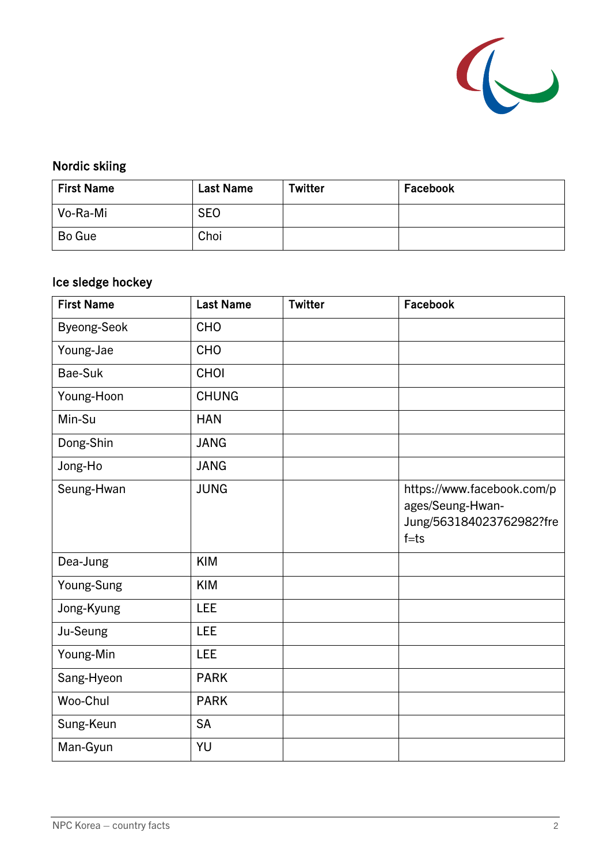

# Nordic skiing

| <b>First Name</b> | <b>Last Name</b> | Twitter | Facebook |
|-------------------|------------------|---------|----------|
| Vo-Ra-Mi          | <b>SEO</b>       |         |          |
| Bo Gue            | Choi             |         |          |

# Ice sledge hockey

| <b>First Name</b>  | <b>Last Name</b> | <b>Twitter</b> | Facebook                                                                               |
|--------------------|------------------|----------------|----------------------------------------------------------------------------------------|
| <b>Byeong-Seok</b> | <b>CHO</b>       |                |                                                                                        |
| Young-Jae          | CHO              |                |                                                                                        |
| Bae-Suk            | CHOI             |                |                                                                                        |
| Young-Hoon         | <b>CHUNG</b>     |                |                                                                                        |
| Min-Su             | <b>HAN</b>       |                |                                                                                        |
| Dong-Shin          | <b>JANG</b>      |                |                                                                                        |
| Jong-Ho            | <b>JANG</b>      |                |                                                                                        |
| Seung-Hwan         | <b>JUNG</b>      |                | https://www.facebook.com/p<br>ages/Seung-Hwan-<br>Jung/563184023762982?fre<br>$f = ts$ |
| Dea-Jung           | <b>KIM</b>       |                |                                                                                        |
| Young-Sung         | <b>KIM</b>       |                |                                                                                        |
| Jong-Kyung         | <b>LEE</b>       |                |                                                                                        |
| Ju-Seung           | <b>LEE</b>       |                |                                                                                        |
| Young-Min          | LEE              |                |                                                                                        |
| Sang-Hyeon         | <b>PARK</b>      |                |                                                                                        |
| Woo-Chul           | <b>PARK</b>      |                |                                                                                        |
| Sung-Keun          | <b>SA</b>        |                |                                                                                        |
| Man-Gyun           | YU               |                |                                                                                        |